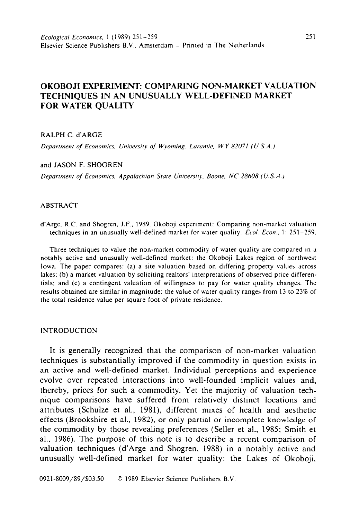# OKOBOJI EXPERIMENT: COMPARING NON-MARKET VALUATION TECHNIQUES IN AN UNUSUALLY WELL-DEFINED MARKET FOR WATER QUALITY

## **RALPH C. d'ARGE**

*Department of Economics, University o/ W\_voming, Lurumie. WY 82071 (U.S.A.)* 

**and JASON F. SHOGREN** 

*Department of Economics, Appalachian State University, Boone, NC 28608 (U.S.A.)* 

## **ABSTRACT**

**d'Arge, R.C. and Shogren. J.F.. 1989. Okoboji experiment: Comparing non-market valuation techniques in an unusually well-defined market for water quality.** *Ecol.* **Econ..** 1: **251-259.** 

**Three techniques to value the non-market commodity of water quality are compared in a notably active and unusually well-defined market: the Okoboji Lakes region of northwest Iowa. The paper compares: (a) a site valuation based on differing property values across lakes; (b) a market valuation by soliciting realtors' interpretations of observed price differentials: and (c) a contingent valuation of willingness to pay for water quality changes. The results obtained are similar in magnitude; the value of water quality ranges from 13 to 23% of the total residence value** per square foot of private residence.

#### **INTRODUCTION**

It is generally recognized that the comparison of non-market valuation techniques is substantially improved if the commodity in question exists in an active and well-defined market. Individual perceptions and experience evolve over repeated interactions into well-founded implicit values and, thereby, prices for such a commodity. Yet the majority of valuation technique comparisons have suffered from relatively distinct locations and attributes (Schulze et al., 1981). different mixes of health and aesthetic effects (Brookshire et al., 1982), or only partial or incomplete knowledge of the commodity by those revealing preferences (Seller et al., 1985; Smith et al., 1986). The purpose of this note is to describe a recent comparison of valuation techniques (d'Arge and Shogren, 1988) in a notably active and unusually well-defined market for water quality: the Lakes of Okoboji,

**0921-8009/89/\$03.50 b 1989 Elsevier Science Publishers B.V.**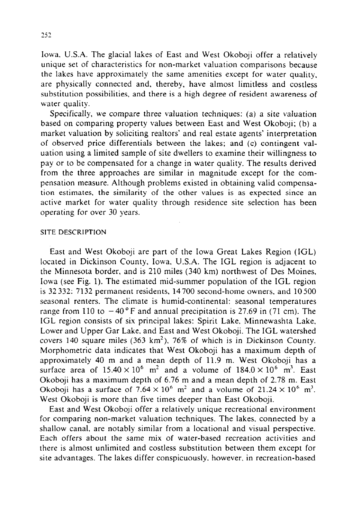Iowa, U.S.A. The glacial lakes of East and West Okoboji offer a relatively unique set of characteristics for non-market valuation comparisons because the lakes have approximately the same amenities except for water quality, are physically connected and, thereby, have almost limitless and costless substitution possibilities, and there is a high degree of resident awareness of water quality.

Specifically, we compare three valuation techniques: (a) a site vaiuation based on comparing property values between East and West Okoboji; (b) a market valuation by soliciting realtors' and real estate agents' interpretation of observed price differentials between the lakes; and (c) contingent valuation using a limited sample of site dwellers to examine their willingness to pay or to be compensated for a change in water quality. The results derived from the three approaches are similar in magnitude except for the compensation measure. Although problems existed in obtaining valid compensation estimates, the similarity of the other values is as expected since an active market for water quality through residence site selection has been operating for over 30 years.

# **SITE DESCRIPTION**

East and West Okoboji are part of the Iowa Great Lakes Region (IGL) located in Dickinson County, Iowa, U.S.A. The IGL region is adjacent to the Minnesota border, and is 210 miles (340 km) northwest of Des Moines, Iowa (see Fig. 1). The estimated mid-summer population of the IGL region is 32 332: 7132 permanent residents, 14700 second-home owners. and 10500 seasonal renters. The climate is humid-continental: seasonal temperatures range from 110 to  $-40^{\circ}$ F and annual precipitation is 27.69 in (71 cm). The IGL region consists of six principal lakes: Spirit Lake, Minnewashta Lake, Lower and Upper Gar Lake. and East and West Okoboji. The IGL watershed covers 140 square miles  $(363 \text{ km}^2)$ , 76% of which is in Dickinson County. Morphometric data indicates that West Okoboji has a maximum depth of approximately 40 m and a mean depth of 11.9 m. West Okoboji has a surface area of  $15.40 \times 10^6$  m<sup>2</sup> and a volume of  $184.0 \times 10^6$  m<sup>3</sup>. East Okoboji has a maximum depth of 6.76 m and a mean depth of 2.78 m. East Okoboji has a surface of  $7.64 \times 10^6$  m<sup>2</sup> and a volume of  $21.24 \times 10^6$  m<sup>3</sup>. West Okoboji is more than five times deeper than East Okoboji.

East and West Okoboji offer a relatively unique recreational environment for comparing non-market valuation techniques. The lakes, connected by a shallow canal. are notably similar from a locational and visual perspective. Each offers about the same mix of water-based recreation activities and there is almost unlimited and costless substitution between them except for site advantages. The lakes differ conspicuously, however. in recreation-based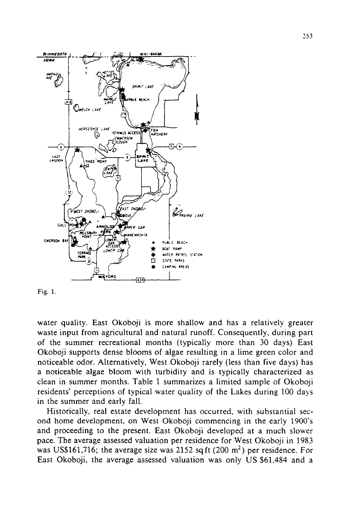

Fig. 1.

water quality. East Okoboji is more shallow and has a relatively greater waste input from agricultural and natural runoff. Consequently, during part of the summer recreational months (typically more than 30 days) East Okoboji supports dense blooms of algae resulting in a lime green color and noticeable odor. Alternatively, West Okoboji rarely (less than five days) has a noticeable algae bloom with turbidity and is typically characterized as clean in summer months. Table 1 summarizes a limited sample of Okoboji residents' perceptions of typical water quality of the Lakes during 100 days in the summer and early fall.

Historically, real estate development has occurred, with substantial second home development, on West Okoboji commencing in the early 1900's and proceeding to the present. East Okoboji developed at a much slower pace. The average assessed valuation per residence for West Okoboji in 1983 was US\$161,716; the average size was 2152 sq ft  $(200 \text{ m}^2)$  per residence. For East Okoboji, the average assessed valuation was only US \$61,484 and a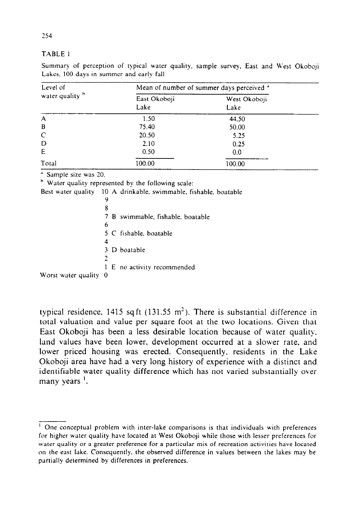#### TABLE 1

Summary of perception of typical water quality. sample survey, East and W'est Dkoboji Lakes, 100 days in summer and early fall

| Level of<br>water quality b | Mean of number of summer days perceived <sup>a</sup> |                      |  |
|-----------------------------|------------------------------------------------------|----------------------|--|
|                             | East Okoboji<br>Lake                                 | West Okoboji<br>Lake |  |
|                             |                                                      |                      |  |
| $\overline{A}$              | 1.50                                                 | 44.50                |  |
| B                           | 75.40                                                | 50.00                |  |
| $\mathsf{C}$                | 20.50                                                | 5.25                 |  |
| D                           | 2.10                                                 | 0.25                 |  |
| E                           | 0.50                                                 | 0.0                  |  |
| Total                       | 100.00                                               | 100.00               |  |

.' Sample size was 20.

<sup>h</sup> Water quality represented by the following scale:

2

Best water quality 10 A drinkable. swimmable, fishable, boatable 9 8 7 B swimmable, fishable. boatable 6 5 C fishable. boatable 4 3 D boatable

1 E no activity recommended Worst water quality 0

typical residence, 1415 sq ft  $(131.55 \text{ m}^2)$ . There is substantial difference in total valuation and value per square foot at the two locations. Given that East Okoboji has been a less desirable location because of water quality. land values have been lower. development occurred at a slower rate. and lower priced housing was erected. Consequently, residents in the Lake Okoboji area have had a very long history of experience with a distinct and identifiable water quality difference which has not varied substantially over many years<sup>1</sup>.

<sup>&</sup>lt;sup>1</sup> One conceptual problem with inter-lake comparisons is that individuals with preferences for higher water quality have located at West Okoboji while those with lesser preferences for water quality or a greater preference for a particular mix of recreation activities have located on the east lake. Consequently. the observed difference in values between the lakes may be partially determined by differences in preferences.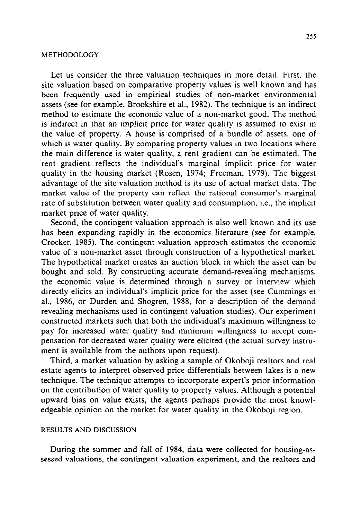# **METHODOLOGY**

Let us consider the three valuation techniques in more detail. First, the site valuation based on comparative property values is well known and has been frequently used in empirical studies of non-market environmental assets (see for example, Brookshire et al., 1982). The technique is an indirect method to estimate the economic value of a non-market good. The method is indirect in that an implicit price for water quality is assumed to exist in the value of property. A house is comprised of a bundle of assets, one of which is water quality. By comparing property values in two locations where the main difference is water quality, a rent gradient can be estimated. The rent gradient reflects the individual's marginal implicit price for water quality in the housing market (Rosen, 1974; Freeman, 1979). The biggest advantage of the site valuation method is its use of actual market data. The market value of the property can reflect the rational consumer's marginal rate of substitution between water quality and consumption, i.e., the implicit market price of water quality.

Second, the contingent valuation approach is also well known and its use has been expanding rapidly in the economics literature (see for example, Crocker, 1985). The contingent valuation approach estimates the economic value of a non-market asset through construction of a hypothetical market. The hypothetical market creates an auction block in which the asset can be bought and sold. By constructing accurate demand-revealing mechanisms, the economic value is determined through a survey or interview which directly elicits an individual's implicit price for the asset (see Cummings et al., 1986, or Durden and Shogren, 1988, for a description of the demand revealing mechanisms used in contingent valuation studies). Our experiment constructed markets such that both the individual's maximum willingness to pay for increased water quality and minimum willingness to accept compensation for decreased water quality were elicited (the actual survey instrument is available from the authors upon request).

Third, a market valuation by asking a sample of Okoboji realtors and real estate agents to interpret observed price differentials between lakes is a new technique. The technique attempts to incorporate expert's prior information on the contribution of water quality to property values. Although a potential upward bias on value exists, the agents perhaps provide the most knowledgeable opinion on the market for water quality in the Okoboji region.

# RESULTS AND DISCUSSION

During the summer and fall of 1984, data were collected for housing-assessed valuations, the contingent valuation experiment, and the realtors and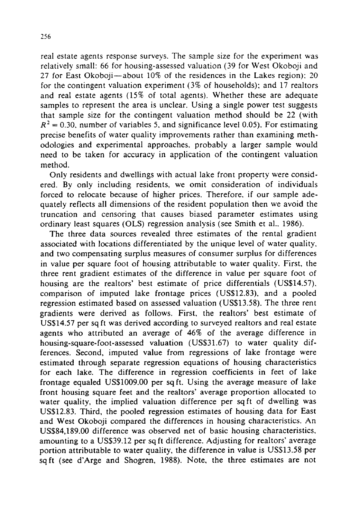real estate agents response surveys. The sample size for the experiment was relatively small: 66 for housing-assessed valuation (39 for West Okoboji and 27 for East Okoboji-about  $10\%$  of the residences in the Lakes region); 20 for the contingent valuation experiment (3% of households); and 17 realtors and real estate agents (15% of total agents). Whether these are adequate samples to represent the area is unclear. Using a single power test suggests that sample size for the contingent valuation method should be 22 (with  $R^2$  = 0.30, number of variables 5, and significance level 0.05). For estimating precise benefits of water quality improvements rather than examining methodologies and experimental approaches, probably a larger sample would need to be taken for accuracy in application of the contingent valuation method.

Only residents and dwellings with actual lake front property were considered. By only including residents, we omit consideration of individuals forced to relocate because of higher prices. Therefore, if our sample adequately reflects all dimensions of the resident population then we avoid the truncation and censoring that causes biased parameter estimates using ordinary least squares (OLS) regression analysis (see Smith et al.. 1986).

The three data sources revealed three estimates of the rental gradient associated with locations differentiated by the unique level of water quality, and two compensating surplus measures of consumer surplus for differences in value per square foot of housing attributable to water quality. First, the three rent gradient estimates of the difference in value per square foot of housing are the realtors' best estimate of price differentials (US\$14.57). comparison of imputed lake frontage prices (US\$12.83), and a pooled regression estimated based on assessed valuation (US\$13.58). The three rent gradients were derived as follows. First, the realtors' best estimate of US\$14.57 per sq ft was derived according to surveyed realtors and real estate agents who attributed an average of 46% of the average difference in housing-square-foot-assessed valuation (US\$31.67) to water quality differences. Second, imputed value from regressions of lake frontage were estimated through separate regression equations of housing characteristics for each lake. The difference in regression coefficients in feet of lake frontage equaled US\$1009.00 per sqft. Using the average measure of lake front housing square feet and the realtors' average proportion allocated to water quality, the implied valuation difference per sqft of dwelling was US\$12.83. Third, the pooled regression estimates of housing data for East and West Okoboji compared the differences in housing characteristics. An US\$84,189.00 difference was observed net of basic housing characteristics, amounting to a US\$39.12 per sq ft difference. Adjusting for realtors' average portion attributable to water quality, the difference in value is USS13.58 per sq ft (see d'Arge and Shogren, 1988). Note, the three estimates are not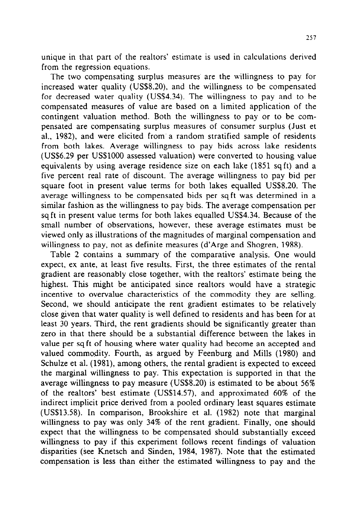unique in that part of the realtors' estimate is used in calculations derived from the regression equations.

The two compensating surplus measures are the willingness to pay for increased water quality (US\$8.20), and the willingness to be compensated for decreased water quality (USS4.34). The willingness to pay and to be compensated measures of value are based on a limited application of the contingent valuation method. Both the willingness to pay or to be compensated are compensating surplus measures of consumer surplus (Just et al., 1982), and were elicited from' a random stratified sample of residents from both lakes. Average willingness to pay bids across lake residents (US\$6.29 per US\$lOOO assessed valuation) were converted to housing value equivalents by using average residence size on each lake (1851 sq ft) and a five percent real rate of discount. The average willingness to pay bid per square foot in present value terms for both lakes equalled US\$8.20. The average willingness to be compensated bids per sq ft was determined in a similar fashion as the willingness to pay bids. The average compensation per sq ft in present value terms for both lakes equalled US\$4.34. Because of the small number of observations, however, these average estimates must be viewed only as illustrations of the magnitudes of marginal compensation and willingness to pay, not as definite measures (d'Arge and Shogren, 1988).

Table 2 contains a summary of the comparative analysis. One would expect, ex ante, at least five results. First, the three estimates of the rental gradient are reasonably close together, with the realtors' estimate being the highest. This might be anticipated since realtors would have a strategic incentive to overvalue characteristics of the commodity they are selling. Second, we should anticipate the rent gradient estimates to be relatively close given that water quality is well defined to residents and has been for at least 30 years. Third, the rent gradients should be significantly greater than zero in that there should be a substantial difference between the lakes in value per sq ft of housing where water quality had become an accepted and valued commodity. Fourth, as argued by Feenburg and Mills (1980) and Schulze et al. (1981), among others, the rental gradient is expected to exceed the marginal willingness to pay. This expectation is supported in that the average willingness to pay measure (US\$8.20) is estimated to be about 56% of the realtors' best estimate (US\$14.57), and approximated 60% of the indirect implicit price derived from a pooled ordinary least squares estimate (UEX13.58). In comparison, Brookshire et al. (1982) note that marginal willingness to pay was only 34% of the rent gradient. Finally, one should expect that the willingness to be compensated should substantially exceed willingness to pay if this experiment follows recent findings of valuation disparities (see Knetsch and Sinden, 1984, 1987). Note that the estimated compensation is less than either the estimated willingness to pay and the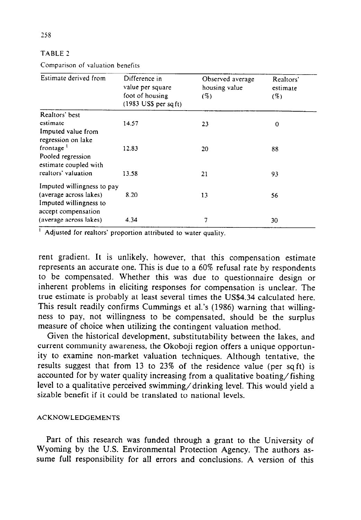|  | ٠<br>٠ |  | t |
|--|--------|--|---|
|--|--------|--|---|

Comparison of valuation benefits

| Estimate derived from                         | Difference in<br>value per square<br>foot of housing<br>$(1983$ US\$ per sq ft) | Observed average<br>housing value<br>$(\%)$ | Realtors'<br>estimate<br>$(\%)$ |
|-----------------------------------------------|---------------------------------------------------------------------------------|---------------------------------------------|---------------------------------|
| Realtors' best                                |                                                                                 |                                             |                                 |
| estimate                                      | 14.57                                                                           | 23                                          | 0                               |
| Imputed value from<br>regression on lake      |                                                                                 |                                             |                                 |
| frontage <sup>1</sup>                         | 12.83                                                                           | 20                                          | 88                              |
| Pooled regression<br>estimate coupled with    |                                                                                 |                                             |                                 |
| realtors' valuation                           | 13.58                                                                           | 21                                          | 93                              |
| Imputed willingness to pay                    |                                                                                 |                                             |                                 |
| (average across lakes)                        | 8.20                                                                            | 13                                          | 56                              |
| Imputed willingness to<br>accept compensation |                                                                                 |                                             |                                 |
| (average across lakes)                        | 4.34                                                                            | 7                                           | 30                              |

' Adjusted for realtors' proportion attributed to water quality.

rent gradient. It is unlikely, however, that this compensation estimate represents an accurate one. This is due to a 60% refusal rate by respondents to be compensated. Whether this was due to questionnaire design or inherent problems in eliciting responses for compensation is unclear. The true estimate is probably at least several times the US\$4.34 calculated here. This result readily confirms Cummings et al.'s (1986) warning that willingness to pay, not willingness to be compensated, should be the surplus measure of choice when utilizing the contingent valuation method.

Given the historical development, substitutability between the lakes, and current community awareness, the Okoboji region offers a unique opportunity to examine non-market valuation techniques. Although tentative, the results suggest that from 13 to 23% of the residence value (per sqft) is accounted for by water quality increasing from a qualitative boating/fishing level to a qualitative perceived swimming/drinking level. This would yield a sizable benefit if it could be translated to national levels.

## ACKNOWLEDGEMENTS

Part of this research was funded through a grant to the University of Wyoming by the U.S. Environmental Protection Agency. The authors assume full responsibility for all errors and conclusions. A version of this